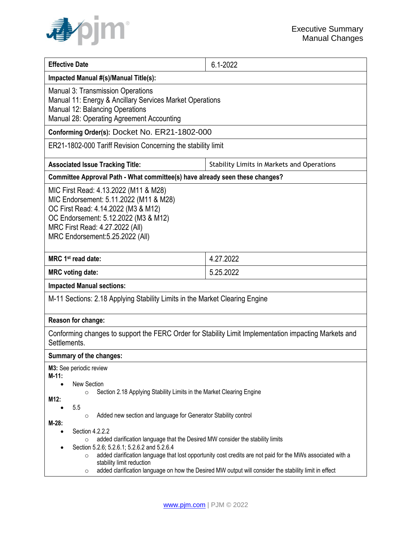

| <b>Effective Date</b>                                                                                                                                                                                                                                                                                                                                                                                                                             | 6.1-2022                                   |
|---------------------------------------------------------------------------------------------------------------------------------------------------------------------------------------------------------------------------------------------------------------------------------------------------------------------------------------------------------------------------------------------------------------------------------------------------|--------------------------------------------|
| Impacted Manual #(s)/Manual Title(s):                                                                                                                                                                                                                                                                                                                                                                                                             |                                            |
| <b>Manual 3: Transmission Operations</b><br>Manual 11: Energy & Ancillary Services Market Operations<br>Manual 12: Balancing Operations<br>Manual 28: Operating Agreement Accounting                                                                                                                                                                                                                                                              |                                            |
| Conforming Order(s): Docket No. ER21-1802-000                                                                                                                                                                                                                                                                                                                                                                                                     |                                            |
| ER21-1802-000 Tariff Revision Concerning the stability limit                                                                                                                                                                                                                                                                                                                                                                                      |                                            |
| <b>Associated Issue Tracking Title:</b>                                                                                                                                                                                                                                                                                                                                                                                                           | Stability Limits in Markets and Operations |
| Committee Approval Path - What committee(s) have already seen these changes?                                                                                                                                                                                                                                                                                                                                                                      |                                            |
| MIC First Read: 4.13.2022 (M11 & M28)<br>MIC Endorsement: 5.11.2022 (M11 & M28)<br>OC First Read: 4.14.2022 (M3 & M12)<br>OC Endorsement: 5.12.2022 (M3 & M12)<br>MRC First Read: 4.27.2022 (All)<br>MRC Endorsement: 5.25.2022 (All)                                                                                                                                                                                                             |                                            |
| MRC 1 <sup>st</sup> read date:                                                                                                                                                                                                                                                                                                                                                                                                                    | 4.27.2022                                  |
| <b>MRC</b> voting date:                                                                                                                                                                                                                                                                                                                                                                                                                           | 5.25.2022                                  |
| <b>Impacted Manual sections:</b>                                                                                                                                                                                                                                                                                                                                                                                                                  |                                            |
| M-11 Sections: 2.18 Applying Stability Limits in the Market Clearing Engine                                                                                                                                                                                                                                                                                                                                                                       |                                            |
| Reason for change:                                                                                                                                                                                                                                                                                                                                                                                                                                |                                            |
| Conforming changes to support the FERC Order for Stability Limit Implementation impacting Markets and<br>Settlements.                                                                                                                                                                                                                                                                                                                             |                                            |
| Summary of the changes:                                                                                                                                                                                                                                                                                                                                                                                                                           |                                            |
| M3: See periodic review<br>$M-11:$                                                                                                                                                                                                                                                                                                                                                                                                                |                                            |
| New Section<br>Section 2.18 Applying Stability Limits in the Market Clearing Engine<br>$\circ$<br>M12:<br>5.5<br>Added new section and language for Generator Stability control<br>$\circ$                                                                                                                                                                                                                                                        |                                            |
| $M-28$ :<br>Section 4.2.2.2<br>added clarification language that the Desired MW consider the stability limits<br>$\circ$<br>Section 5.2.6; 5.2.6.1; 5.2.6.2 and 5.2.6.4<br>added clarification language that lost opportunity cost credits are not paid for the MWs associated with a<br>$\circ$<br>stability limit reduction<br>added clarification language on how the Desired MW output will consider the stability limit in effect<br>$\circ$ |                                            |